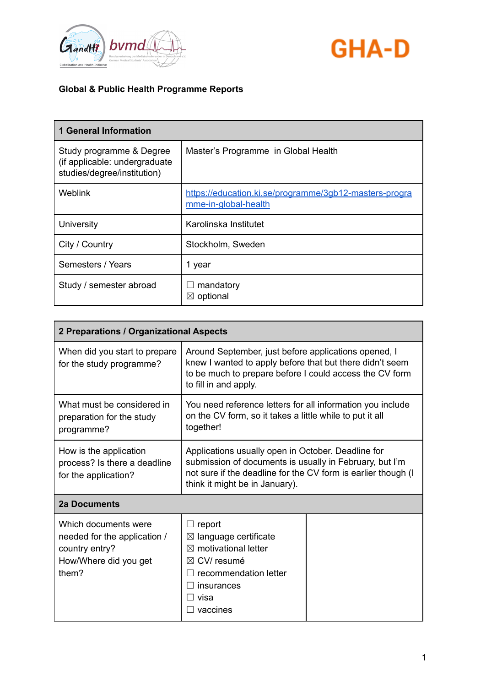



| <b>1 General Information</b>                                                             |                                                                                |
|------------------------------------------------------------------------------------------|--------------------------------------------------------------------------------|
| Study programme & Degree<br>(if applicable: undergraduate<br>studies/degree/institution) | Master's Programme in Global Health                                            |
| Weblink                                                                                  | https://education.ki.se/programme/3qb12-masters-progra<br>mme-in-global-health |
| University                                                                               | Karolinska Institutet                                                          |
| City / Country                                                                           | Stockholm, Sweden                                                              |
| Semesters / Years                                                                        | 1 year                                                                         |
| Study / semester abroad                                                                  | mandatory<br>$\boxtimes$ optional                                              |

| 2 Preparations / Organizational Aspects                                                                  |                                                                                                                                                                                                                  |  |
|----------------------------------------------------------------------------------------------------------|------------------------------------------------------------------------------------------------------------------------------------------------------------------------------------------------------------------|--|
| When did you start to prepare<br>for the study programme?                                                | Around September, just before applications opened, I<br>knew I wanted to apply before that but there didn't seem<br>to be much to prepare before I could access the CV form<br>to fill in and apply.             |  |
| What must be considered in<br>preparation for the study<br>programme?                                    | You need reference letters for all information you include<br>on the CV form, so it takes a little while to put it all<br>together!                                                                              |  |
| How is the application<br>process? Is there a deadline<br>for the application?                           | Applications usually open in October. Deadline for<br>submission of documents is usually in February, but I'm<br>not sure if the deadline for the CV form is earlier though (I<br>think it might be in January). |  |
| <b>2a Documents</b>                                                                                      |                                                                                                                                                                                                                  |  |
| Which documents were<br>needed for the application /<br>country entry?<br>How/Where did you get<br>them? | report<br>language certificate<br>$\bowtie$<br>motivational letter<br>$\bowtie$<br>CV/resumé<br>$\bowtie$<br>recommendation letter<br>insurances<br>visa<br>vaccines                                             |  |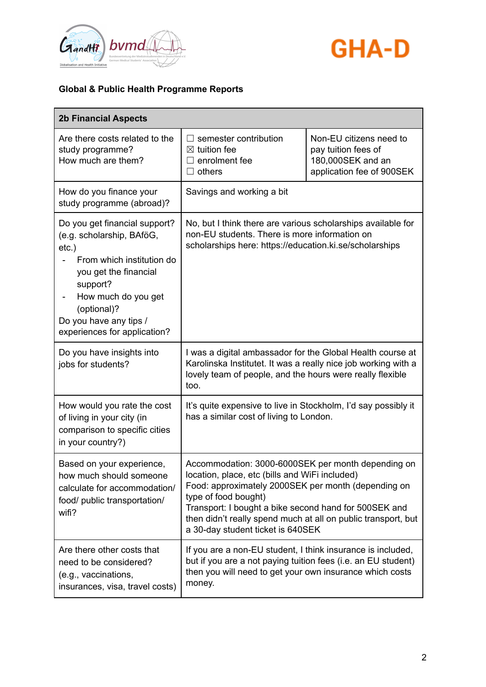



| <b>2b Financial Aspects</b>                                                                                                                                                                                                              |                                                                                                                                                                                                                                                                                                                                                    |                                                                                                  |
|------------------------------------------------------------------------------------------------------------------------------------------------------------------------------------------------------------------------------------------|----------------------------------------------------------------------------------------------------------------------------------------------------------------------------------------------------------------------------------------------------------------------------------------------------------------------------------------------------|--------------------------------------------------------------------------------------------------|
| Are there costs related to the<br>study programme?<br>How much are them?                                                                                                                                                                 | semester contribution<br>$\boxtimes$ tuition fee<br>enrolment fee<br>$\Box$ others                                                                                                                                                                                                                                                                 | Non-EU citizens need to<br>pay tuition fees of<br>180,000SEK and an<br>application fee of 900SEK |
| How do you finance your<br>study programme (abroad)?                                                                                                                                                                                     | Savings and working a bit                                                                                                                                                                                                                                                                                                                          |                                                                                                  |
| Do you get financial support?<br>(e.g. scholarship, BAföG,<br>$etc.$ )<br>From which institution do<br>you get the financial<br>support?<br>How much do you get<br>(optional)?<br>Do you have any tips /<br>experiences for application? | No, but I think there are various scholarships available for<br>non-EU students. There is more information on<br>scholarships here: https://education.ki.se/scholarships                                                                                                                                                                           |                                                                                                  |
| Do you have insights into<br>jobs for students?                                                                                                                                                                                          | I was a digital ambassador for the Global Health course at<br>Karolinska Institutet. It was a really nice job working with a<br>lovely team of people, and the hours were really flexible<br>too.                                                                                                                                                  |                                                                                                  |
| How would you rate the cost<br>of living in your city (in<br>comparison to specific cities<br>in your country?)                                                                                                                          | It's quite expensive to live in Stockholm, I'd say possibly it<br>has a similar cost of living to London.                                                                                                                                                                                                                                          |                                                                                                  |
| Based on your experience,<br>how much should someone<br>calculate for accommodation/<br>food/ public transportation/<br>wifi?                                                                                                            | Accommodation: 3000-6000SEK per month depending on<br>location, place, etc (bills and WiFi included)<br>Food: approximately 2000SEK per month (depending on<br>type of food bought)<br>Transport: I bought a bike second hand for 500SEK and<br>then didn't really spend much at all on public transport, but<br>a 30-day student ticket is 640SEK |                                                                                                  |
| Are there other costs that<br>need to be considered?<br>(e.g., vaccinations,<br>insurances, visa, travel costs)                                                                                                                          | If you are a non-EU student, I think insurance is included,<br>but if you are a not paying tuition fees (i.e. an EU student)<br>then you will need to get your own insurance which costs<br>money.                                                                                                                                                 |                                                                                                  |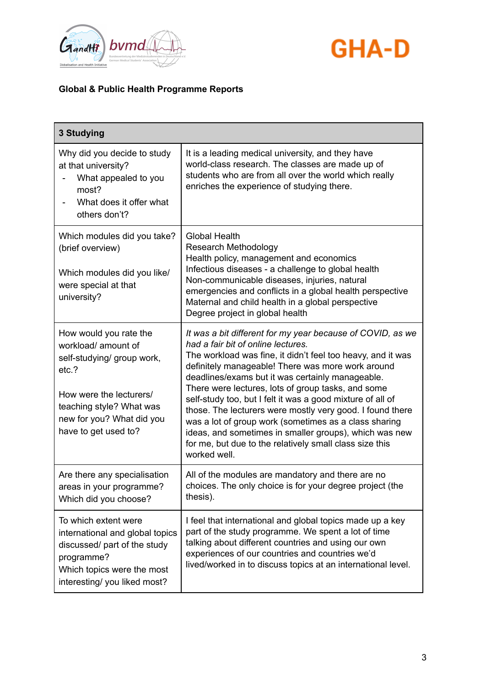



| 3 Studying                                                                                                                                                                                       |                                                                                                                                                                                                                                                                                                                                                                                                                                                                                                                                                                                                                                                         |
|--------------------------------------------------------------------------------------------------------------------------------------------------------------------------------------------------|---------------------------------------------------------------------------------------------------------------------------------------------------------------------------------------------------------------------------------------------------------------------------------------------------------------------------------------------------------------------------------------------------------------------------------------------------------------------------------------------------------------------------------------------------------------------------------------------------------------------------------------------------------|
| Why did you decide to study<br>at that university?<br>What appealed to you<br>most?<br>What does it offer what<br>others don't?                                                                  | It is a leading medical university, and they have<br>world-class research. The classes are made up of<br>students who are from all over the world which really<br>enriches the experience of studying there.                                                                                                                                                                                                                                                                                                                                                                                                                                            |
| Which modules did you take?<br>(brief overview)<br>Which modules did you like/<br>were special at that<br>university?                                                                            | <b>Global Health</b><br><b>Research Methodology</b><br>Health policy, management and economics<br>Infectious diseases - a challenge to global health<br>Non-communicable diseases, injuries, natural<br>emergencies and conflicts in a global health perspective<br>Maternal and child health in a global perspective<br>Degree project in global health                                                                                                                                                                                                                                                                                                |
| How would you rate the<br>workload/ amount of<br>self-studying/ group work,<br>etc.?<br>How were the lecturers/<br>teaching style? What was<br>new for you? What did you<br>have to get used to? | It was a bit different for my year because of COVID, as we<br>had a fair bit of online lectures.<br>The workload was fine, it didn't feel too heavy, and it was<br>definitely manageable! There was more work around<br>deadlines/exams but it was certainly manageable.<br>There were lectures, lots of group tasks, and some<br>self-study too, but I felt it was a good mixture of all of<br>those. The lecturers were mostly very good. I found there<br>was a lot of group work (sometimes as a class sharing<br>ideas, and sometimes in smaller groups), which was new<br>for me, but due to the relatively small class size this<br>worked well. |
| Are there any specialisation<br>areas in your programme?<br>Which did you choose?                                                                                                                | All of the modules are mandatory and there are no<br>choices. The only choice is for your degree project (the<br>thesis).                                                                                                                                                                                                                                                                                                                                                                                                                                                                                                                               |
| To which extent were<br>international and global topics<br>discussed/ part of the study<br>programme?<br>Which topics were the most<br>interesting/ you liked most?                              | I feel that international and global topics made up a key<br>part of the study programme. We spent a lot of time<br>talking about different countries and using our own<br>experiences of our countries and countries we'd<br>lived/worked in to discuss topics at an international level.                                                                                                                                                                                                                                                                                                                                                              |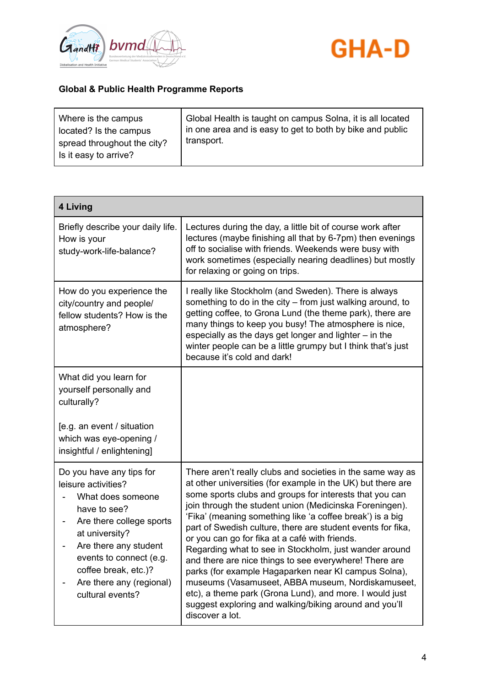



| 4 Living                                                                                                                                                                                                                                                       |                                                                                                                                                                                                                                                                                                                                                                                                                                                                                                                                                                                                                                                                                                                                                                                                        |
|----------------------------------------------------------------------------------------------------------------------------------------------------------------------------------------------------------------------------------------------------------------|--------------------------------------------------------------------------------------------------------------------------------------------------------------------------------------------------------------------------------------------------------------------------------------------------------------------------------------------------------------------------------------------------------------------------------------------------------------------------------------------------------------------------------------------------------------------------------------------------------------------------------------------------------------------------------------------------------------------------------------------------------------------------------------------------------|
| Briefly describe your daily life.<br>How is your<br>study-work-life-balance?                                                                                                                                                                                   | Lectures during the day, a little bit of course work after<br>lectures (maybe finishing all that by 6-7pm) then evenings<br>off to socialise with friends. Weekends were busy with<br>work sometimes (especially nearing deadlines) but mostly<br>for relaxing or going on trips.                                                                                                                                                                                                                                                                                                                                                                                                                                                                                                                      |
| How do you experience the<br>city/country and people/<br>fellow students? How is the<br>atmosphere?                                                                                                                                                            | I really like Stockholm (and Sweden). There is always<br>something to do in the city – from just walking around, to<br>getting coffee, to Grona Lund (the theme park), there are<br>many things to keep you busy! The atmosphere is nice,<br>especially as the days get longer and lighter – in the<br>winter people can be a little grumpy but I think that's just<br>because it's cold and dark!                                                                                                                                                                                                                                                                                                                                                                                                     |
| What did you learn for<br>yourself personally and<br>culturally?<br>[e.g. an event / situation<br>which was eye-opening /<br>insightful / enlightening]                                                                                                        |                                                                                                                                                                                                                                                                                                                                                                                                                                                                                                                                                                                                                                                                                                                                                                                                        |
| Do you have any tips for<br>leisure activities?<br>What does someone<br>have to see?<br>Are there college sports<br>at university?<br>Are there any student<br>events to connect (e.g.<br>coffee break, etc.)?<br>Are there any (regional)<br>cultural events? | There aren't really clubs and societies in the same way as<br>at other universities (for example in the UK) but there are<br>some sports clubs and groups for interests that you can<br>join through the student union (Medicinska Foreningen).<br>'Fika' (meaning something like 'a coffee break') is a big<br>part of Swedish culture, there are student events for fika,<br>or you can go for fika at a café with friends.<br>Regarding what to see in Stockholm, just wander around<br>and there are nice things to see everywhere! There are<br>parks (for example Hagaparken near KI campus Solna),<br>museums (Vasamuseet, ABBA museum, Nordiskamuseet,<br>etc), a theme park (Grona Lund), and more. I would just<br>suggest exploring and walking/biking around and you'll<br>discover a lot. |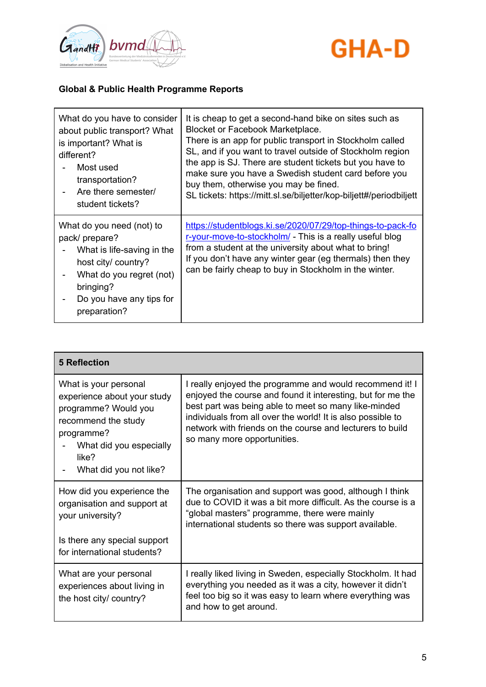



| What do you have to consider                                                                                                                                                          | It is cheap to get a second-hand bike on sites such as                                                                                                                                                                                                                                                  |
|---------------------------------------------------------------------------------------------------------------------------------------------------------------------------------------|---------------------------------------------------------------------------------------------------------------------------------------------------------------------------------------------------------------------------------------------------------------------------------------------------------|
| about public transport? What                                                                                                                                                          | Blocket or Facebook Marketplace.                                                                                                                                                                                                                                                                        |
| is important? What is                                                                                                                                                                 | There is an app for public transport in Stockholm called                                                                                                                                                                                                                                                |
| different?                                                                                                                                                                            | SL, and if you want to travel outside of Stockholm region                                                                                                                                                                                                                                               |
| Most used                                                                                                                                                                             | the app is SJ. There are student tickets but you have to                                                                                                                                                                                                                                                |
| transportation?                                                                                                                                                                       | make sure you have a Swedish student card before you                                                                                                                                                                                                                                                    |
| Are there semester/                                                                                                                                                                   | buy them, otherwise you may be fined.                                                                                                                                                                                                                                                                   |
| student tickets?                                                                                                                                                                      | SL tickets: https://mitt.sl.se/biljetter/kop-biljett#/periodbiljett                                                                                                                                                                                                                                     |
| What do you need (not) to<br>pack/ prepare?<br>What is life-saving in the<br>host city/ country?<br>What do you regret (not)<br>bringing?<br>Do you have any tips for<br>preparation? | https://studentblogs.ki.se/2020/07/29/top-things-to-pack-fo<br>r-your-move-to-stockholm/ - This is a really useful blog<br>from a student at the university about what to bring!<br>If you don't have any winter gear (eg thermals) then they<br>can be fairly cheap to buy in Stockholm in the winter. |

| <b>5 Reflection</b>                                                                                                                                                             |                                                                                                                                                                                                                                                                                                                                            |
|---------------------------------------------------------------------------------------------------------------------------------------------------------------------------------|--------------------------------------------------------------------------------------------------------------------------------------------------------------------------------------------------------------------------------------------------------------------------------------------------------------------------------------------|
| What is your personal<br>experience about your study<br>programme? Would you<br>recommend the study<br>programme?<br>What did you especially<br>like?<br>What did you not like? | I really enjoyed the programme and would recommend it! I<br>enjoyed the course and found it interesting, but for me the<br>best part was being able to meet so many like-minded<br>individuals from all over the world! It is also possible to<br>network with friends on the course and lecturers to build<br>so many more opportunities. |
| How did you experience the<br>organisation and support at<br>your university?<br>Is there any special support                                                                   | The organisation and support was good, although I think<br>due to COVID it was a bit more difficult. As the course is a<br>"global masters" programme, there were mainly<br>international students so there was support available.                                                                                                         |
| for international students?                                                                                                                                                     |                                                                                                                                                                                                                                                                                                                                            |
| What are your personal<br>experiences about living in<br>the host city/ country?                                                                                                | I really liked living in Sweden, especially Stockholm. It had<br>everything you needed as it was a city, however it didn't<br>feel too big so it was easy to learn where everything was<br>and how to get around.                                                                                                                          |